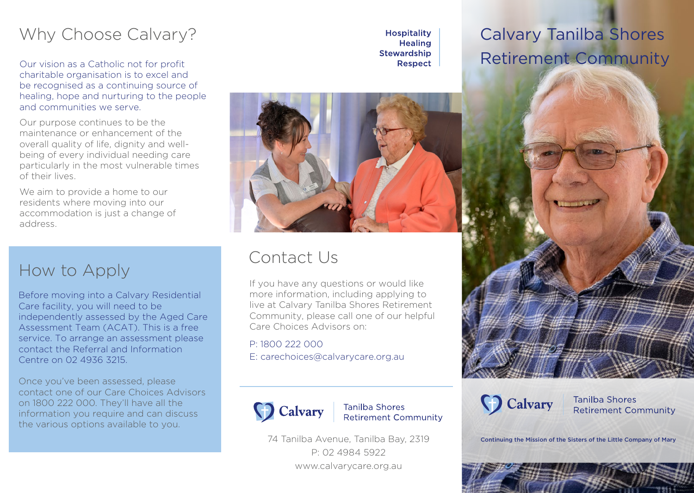## Why Choose Calvary?

Our vision as a Catholic not for profit charitable organisation is to excel and be recognised as a continuing source of healing, hope and nurturing to the people and communities we serve.

Our purpose continues to be the maintenance or enhancement of the overall quality of life, dignity and wellbeing of every individual needing care particularly in the most vulnerable times of their lives.

We aim to provide a home to our residents where moving into our accommodation is just a change of address.

### How to Apply

Before moving into a Calvary Residential Care facility, you will need to be independently assessed by the Aged Care Assessment Team (ACAT). This is a free service. To arrange an assessment please contact the Referral and Information Centre on 02 4936 3215.

Once you've been assessed, please contact one of our Care Choices Advisors on 1800 222 000. They'll have all the information you require and can discuss the various options available to you.

**Hospitality Healing Stewardship** Respect

## Calvary Tanilba Shores Retirement Community



### Contact Us

If you have any questions or would like more information, including applying to live at Calvary Tanilba Shores Retirement Community, please call one of our helpful Care Choices Advisors on:

P: 1800 222 000 E: carechoices@calvarycare.org.au



**Tanilba Shores Retirement Community** 

74 Tanilba Avenue, Tanilba Bay, 2319 P: 02 4984 5922 www.calvarycare.org.au



**Tanilba Shores Retirement Community** 

Continuing the Mission of the Sisters of the Little Company of Mary